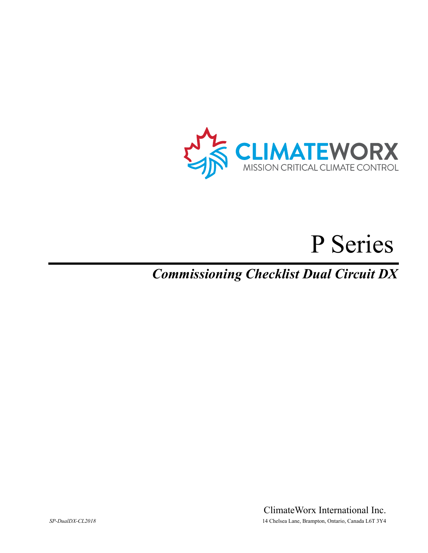

# P Series

# *Commissioning Checklist Dual Circuit DX*

ClimateWorx International Inc. *SP-DualDX-CL2018* 14 Chelsea Lane, Brampton, Ontario, Canada L6T 3Y4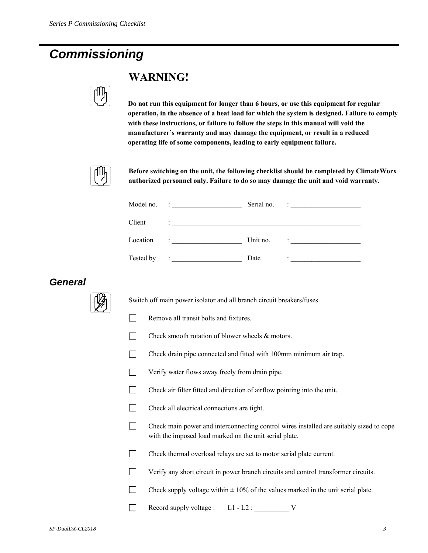# *Commissioning*



## **WARNING!**

**Do not run this equipment for longer than 6 hours, or use this equipment for regular operation, in the absence of a heat load for which the system is designed. Failure to comply with these instructions, or failure to follow the steps in this manual will void the manufacturer's warranty and may damage the equipment, or result in a reduced operating life of some components, leading to early equipment failure.** 



**Before switching on the unit, the following checklist should be completed by ClimateWorx authorized personnel only. Failure to do so may damage the unit and void warranty.** 

| Model no. | <u> 1990 - Alexandria Alexandria III e alexandria de la conte</u>                                                   | Serial no. | $\ddot{\phantom{a}}$ . The contract of the contract of the contract of the contract of the contract of the contract of the contract of the contract of the contract of the contract of the contract of the contract of the contract of                                                                                                                                          |
|-----------|---------------------------------------------------------------------------------------------------------------------|------------|---------------------------------------------------------------------------------------------------------------------------------------------------------------------------------------------------------------------------------------------------------------------------------------------------------------------------------------------------------------------------------|
| Client    | Design and the control of the control of the control of the control of the control of the control of the control of |            |                                                                                                                                                                                                                                                                                                                                                                                 |
| Location  | The control of the control of                                                                                       | Unit no.   | $\mathcal{L} = \frac{1}{\sqrt{2\pi}}\sum_{i=1}^{N} \frac{1}{\sqrt{2\pi}}\sum_{i=1}^{N} \frac{1}{\sqrt{2\pi}}\sum_{i=1}^{N} \frac{1}{\sqrt{2\pi}}\sum_{i=1}^{N} \frac{1}{\sqrt{2\pi}}\sum_{i=1}^{N} \frac{1}{\sqrt{2\pi}}\sum_{i=1}^{N} \frac{1}{\sqrt{2\pi}}\sum_{i=1}^{N} \frac{1}{\sqrt{2\pi}}\sum_{i=1}^{N} \frac{1}{\sqrt{2\pi}}\sum_{i=1}^{N} \frac{1}{\sqrt{2\pi}}\sum_{$ |
| Tested by | <u> 1999 - Alexandria Alexandria III e alexandria de la conte</u>                                                   | Date       | <u> 2008 - John Stein, Amerikaansk konst</u>                                                                                                                                                                                                                                                                                                                                    |

#### *General*



Switch off main power isolator and all branch circuit breakers/fuses.

- Remove all transit bolts and fixtures.
- $\Box$  Check smooth rotation of blower wheels  $\&$  motors.
- Check drain pipe connected and fitted with 100mm minimum air trap.
- Verify water flows away freely from drain pipe.
- Check air filter fitted and direction of airflow pointing into the unit.
- Check all electrical connections are tight.
- Check main power and interconnecting control wires installed are suitably sized to cope with the imposed load marked on the unit serial plate.
- T Check thermal overload relays are set to motor serial plate current.
- Verify any short circuit in power branch circuits and control transformer circuits.
- Check supply voltage within  $\pm 10\%$  of the values marked in the unit serial plate.

Record supply voltage : L1 - L2 : \_\_\_\_\_\_\_\_\_\_ V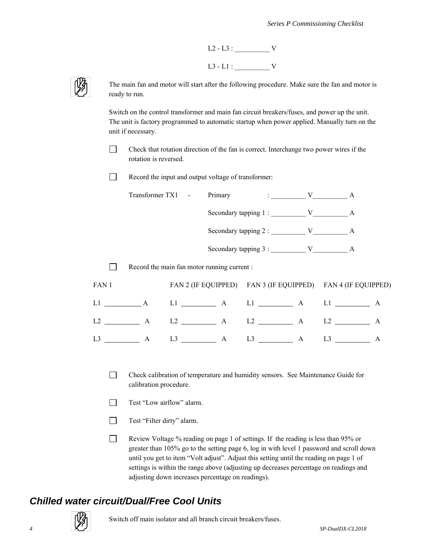



The main fan and motor will start after the following procedure. Make sure the fan and motor is ready to run.

Switch on the control transformer and main fan circuit breakers/fuses, and power up the unit. The unit is factory programmed to automatic startup when power applied. Manually turn on the unit if necessary.

 Check that rotation direction of the fan is correct. Interchange two power wires if the rotation is reversed.

Record the input and output voltage of transformer:

| Transformer TX1 - | Primary | $\mathbf{v}$ is a set of $\mathbf{v}$ |  |
|-------------------|---------|---------------------------------------|--|
|                   |         |                                       |  |
|                   |         |                                       |  |
|                   |         |                                       |  |
|                   |         |                                       |  |

 $\Box$  Record the main fan motor running current :

| FAN 1                |              |               |                                                                                                                                                                                                                                | FAN 2 (IF EQUIPPED) FAN 3 (IF EQUIPPED) FAN 4 (IF EQUIPPED) |  |
|----------------------|--------------|---------------|--------------------------------------------------------------------------------------------------------------------------------------------------------------------------------------------------------------------------------|-------------------------------------------------------------|--|
| L1<br>$\overline{A}$ |              |               | Ll A Ll A                                                                                                                                                                                                                      | L1                                                          |  |
| L2                   | $\mathbf{A}$ | $L2 \t\t\t A$ | $L2 \t\t\t A$                                                                                                                                                                                                                  | L <sub>2</sub>                                              |  |
| L3                   |              | $L3 \t\t\t A$ | L3 and the same state of the state of the state of the state of the state of the state of the state of the state of the state of the state of the state of the state of the state of the state of the state of the state of th |                                                             |  |

- Check calibration of temperature and humidity sensors. See Maintenance Guide for calibration procedure.
- Test "Low airflow" alarm.
- Test "Filter dirty" alarm.
- Review Voltage % reading on page 1 of settings. If the reading is less than 95% or greater than 105% go to the setting page 6, log in with level 1 password and scroll down until you get to item "Volt adjust". Adjust this setting until the reading on page 1 of settings is within the range above (adjusting up decreases percentage on readings and adjusting down increases percentage on readings).

#### *Chilled water circuit/Dual/Free Cool Units*

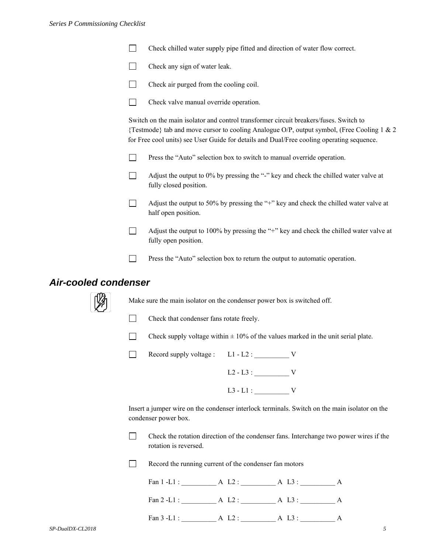- Check chilled water supply pipe fitted and direction of water flow correct.
- $\Box$  Check any sign of water leak.
- Check air purged from the cooling coil.
- Check valve manual override operation.

Switch on the main isolator and control transformer circuit breakers/fuses. Switch to {Testmode} tab and move cursor to cooling Analogue O/P, output symbol, (Free Cooling 1 & 2 for Free cool units) see User Guide for details and Dual/Free cooling operating sequence.

- **Press the "Auto" selection box to switch to manual override operation.**
- $\Box$  Adjust the output to 0% by pressing the "-" key and check the chilled water valve at fully closed position.

 $\Box$  Adjust the output to 50% by pressing the "+" key and check the chilled water valve at half open position.

- Adjust the output to 100% by pressing the "+" key and check the chilled water valve at fully open position.
- **Press the "Auto" selection box to return the output to automatic operation.**

#### *Air-cooled condenser*



Make sure the main isolator on the condenser power box is switched off.

- Check that condenser fans rotate freely.
- Check supply voltage within  $\pm 10\%$  of the values marked in the unit serial plate.

Record supply voltage :  $L1 - L2$  :  $V$ 

| $L2 - L3$ : |  |
|-------------|--|
| $L3 - L1$ : |  |

Insert a jumper wire on the condenser interlock terminals. Switch on the main isolator on the condenser power box.

 Check the rotation direction of the condenser fans. Interchange two power wires if the rotation is reversed.

Record the running current of the condenser fan motors

| Fan $1$ -L1 : | A $1.2$ : | A L3:  |  |
|---------------|-----------|--------|--|
| Fan $2$ -L1 : | A L2:     | A L3 : |  |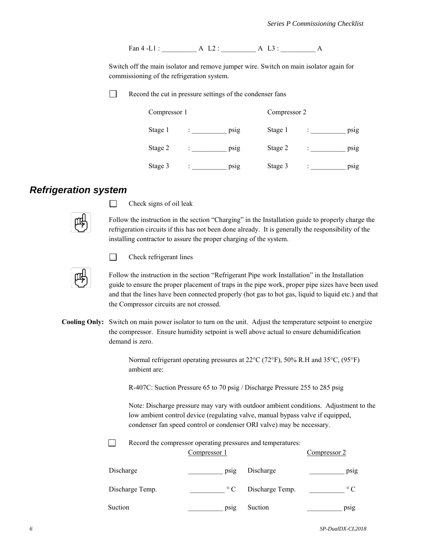Fan 4 -L1 : <br>A L2 : <br>A L3 : <br>A

Switch off the main isolator and remove jumper wire. Switch on main isolator again for commissioning of the refrigeration system.

 $\Box$ Record the cut in pressure settings of the condenser fans

| Compressor 1 |  |      | Compressor 2 |  |      |
|--------------|--|------|--------------|--|------|
| Stage 1      |  | ps1g | Stage 1      |  | psig |
| Stage 2      |  | psig | Stage 2      |  | psig |
| Stage 3      |  | psig | Stage 3      |  | psig |

### *Refrigeration system*



 $\Box$  Check signs of oil leak

Follow the instruction in the section "Charging" in the Installation guide to properly charge the refrigeration circuits if this has not been done already. It is generally the responsibility of the installing contractor to assure the proper charging of the system.

 $\Box$ 

Check refrigerant lines

Follow the instruction in the section "Refrigerant Pipe work Installation" in the Installation guide to ensure the proper placement of traps in the pipe work, proper pipe sizes have been used and that the lines have been connected properly (hot gas to hot gas, liquid to liquid etc.) and that the Compressor circuits are not crossed.

**Cooling Only:** Switch on main power isolator to turn on the unit. Adjust the temperature setpoint to energize the compressor. Ensure humidity setpoint is well above actual to ensure dehumidification demand is zero.

> Normal refrigerant operating pressures at  $22^{\circ}C$  (72°F), 50% R.H and 35°C, (95°F) ambient are:

R-407C: Suction Pressure 65 to 70 psig / Discharge Pressure 255 to 285 psig

 Note: Discharge pressure may vary with outdoor ambient conditions. Adjustment to the low ambient control device (regulating valve, manual bypass valve if equipped, condenser fan speed control or condenser ORI valve) may be necessary.

Record the compressor operating pressures and temperatures:

|                 | Compressor 1 |                 | Compressor 2 |
|-----------------|--------------|-----------------|--------------|
| Discharge       | psig         | Discharge       | psig         |
| Discharge Temp. | $\circ$ C    | Discharge Temp. | $\circ$ C    |
| Suction         | psig         | Suction         | psig         |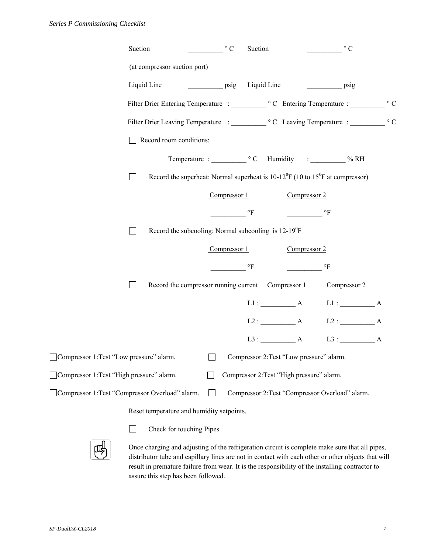| Suction<br>$\circ$ C<br>Suction<br>$\circ$ C                                                                   |  |
|----------------------------------------------------------------------------------------------------------------|--|
| (at compressor suction port)                                                                                   |  |
| Liquid Line<br>Liquid Line<br>$\overline{psig}$<br>$\overline{psig}$                                           |  |
|                                                                                                                |  |
|                                                                                                                |  |
| Record room conditions:                                                                                        |  |
|                                                                                                                |  |
| Record the superheat: Normal superheat is $10-12^{0}F(10 \text{ to } 15^{0}F \text{ at compressor})$<br>$\Box$ |  |
| Compressor 1<br>Compressor 2                                                                                   |  |
| $\mathrm{^{\circ}F}$<br>$\mathrm{^{\circ}F}$                                                                   |  |
| Record the subcooling: Normal subcooling is 12-19 <sup>0</sup> F<br>$\perp$                                    |  |
| Compressor $1$<br>Compressor 2                                                                                 |  |
| $\circ$ F<br>$\circ$ F                                                                                         |  |
| Record the compressor running current Compressor 1<br>Compressor 2<br>$\blacksquare$                           |  |
| $L1:$ $A$<br>L1: A                                                                                             |  |
| $L2:$ A $L2:$ A                                                                                                |  |
| $L3:$ A<br>L3: A                                                                                               |  |
| Compressor 1: Test "Low pressure" alarm.<br>$\Box$<br>Compressor 2:Test "Low pressure" alarm.                  |  |
| Compressor 1: Test "High pressure" alarm.<br>Compressor 2: Test "High pressure" alarm.                         |  |
| Compressor 1:Test "Compressor Overload" alarm.<br>$\Box$<br>Compressor 2: Test "Compressor Overload" alarm.    |  |

Reset temperature and humidity setpoints.



**Check for touching Pipes** 

Once charging and adjusting of the refrigeration circuit is complete make sure that all pipes, distributor tube and capillary lines are not in contact with each other or other objects that will result in premature failure from wear. It is the responsibility of the installing contractor to assure this step has been followed.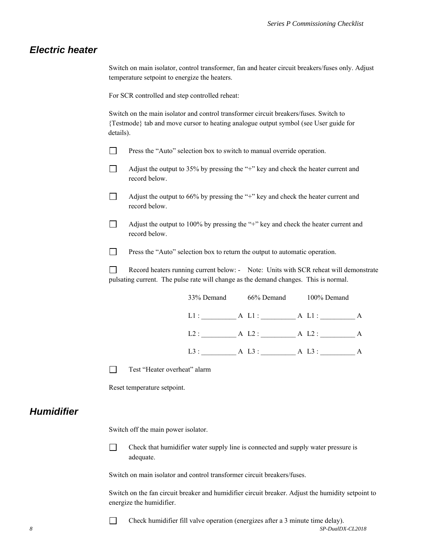#### *Electric heater*

Switch on main isolator, control transformer, fan and heater circuit breakers/fuses only. Adjust temperature setpoint to energize the heaters.

For SCR controlled and step controlled reheat:

Switch on the main isolator and control transformer circuit breakers/fuses. Switch to {Testmode} tab and move cursor to heating analogue output symbol (see User guide for details).

- **Press the "Auto" selection box to switch to manual override operation.**
- $\Box$  Adjust the output to 35% by pressing the "+" key and check the heater current and record below.
- Adjust the output to  $66\%$  by pressing the "+" key and check the heater current and record below.
- $\Box$  Adjust the output to 100% by pressing the "+" key and check the heater current and record below.

**Press the "Auto" selection box to return the output to automatic operation.** 

Record heaters running current below: - Note: Units with SCR reheat will demonstrate pulsating current. The pulse rate will change as the demand changes. This is normal.

| 33% Demand | 66% Demand | 100% Demand |   |
|------------|------------|-------------|---|
| L1:        | A L1:      | A L1:       | A |
| L2:        | A L2:      | A L2:       | A |
| $L3$ :     | A L3 :     | A L3:       | А |

Test "Heater overheat" alarm

Reset temperature setpoint.

#### *Humidifier*

Switch off the main power isolator.

 $\Box$  Check that humidifier water supply line is connected and supply water pressure is adequate.

Switch on main isolator and control transformer circuit breakers/fuses.

Switch on the fan circuit breaker and humidifier circuit breaker. Adjust the humidity setpoint to energize the humidifier.

*8 SP-DualDX-CL2018*  Check humidifier fill valve operation (energizes after a 3 minute time delay).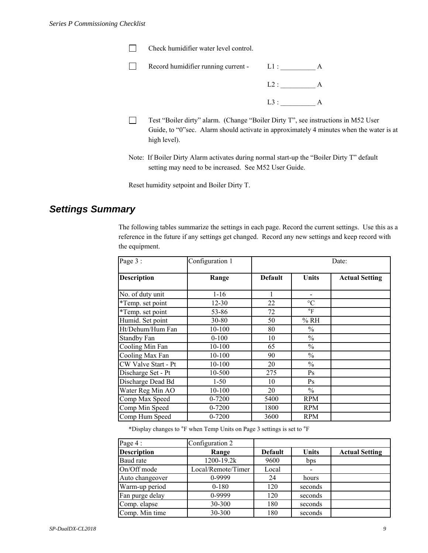| Record humidifier running current - | $LL1$ : |  |  |
|-------------------------------------|---------|--|--|
|                                     |         |  |  |
|                                     |         |  |  |

- Test "Boiler dirty" alarm. (Change "Boiler Dirty T", see instructions in M52 User Guide, to "0"sec. Alarm should activate in approximately 4 minutes when the water is at high level).
- Note: If Boiler Dirty Alarm activates during normal start-up the "Boiler Dirty T" default setting may need to be increased. See M52 User Guide.

Reset humidity setpoint and Boiler Dirty T.

#### *Settings Summary*

The following tables summarize the settings in each page. Record the current settings. Use this as a reference in the future if any settings get changed. Record any new settings and keep record with the equipment.

| Page 3:             | Configuration 1 | Date:          |                 |                       |  |  |
|---------------------|-----------------|----------------|-----------------|-----------------------|--|--|
| <b>Description</b>  | Range           | <b>Default</b> | Units           | <b>Actual Setting</b> |  |  |
| No. of duty unit    | $1-16$          | 1              |                 |                       |  |  |
| *Temp. set point    | $12 - 30$       | 22             | $\rm ^{\circ}C$ |                       |  |  |
| *Temp. set point    | 53-86           | 72             | $\circ$ F       |                       |  |  |
| Humid. Set point    | $30 - 80$       | 50             | % RH            |                       |  |  |
| Ht/Dehum/Hum Fan    | 10-100          | 80             | $\frac{0}{0}$   |                       |  |  |
| <b>Standby Fan</b>  | $0 - 100$       | 10             | $\frac{0}{0}$   |                       |  |  |
| Cooling Min Fan     | 10-100          | 65             | $\frac{0}{0}$   |                       |  |  |
| Cooling Max Fan     | 10-100          | 90             | $\frac{0}{0}$   |                       |  |  |
| CW Valve Start - Pt | 10-100          | 20             | $\frac{0}{0}$   |                       |  |  |
| Discharge Set - Pt  | 10-500          | 275            | Ps              |                       |  |  |
| Discharge Dead Bd   | $1-50$          | 10             | Ps              |                       |  |  |
| Water Reg Min AO    | 10-100          | 20             | $\frac{0}{0}$   |                       |  |  |
| Comp Max Speed      | 0-7200          | 5400           | <b>RPM</b>      |                       |  |  |
| Comp Min Speed      | 0-7200          | 1800           | <b>RPM</b>      |                       |  |  |
| Comp Hum Speed      | 0-7200          | 3600           | <b>RPM</b>      |                       |  |  |

\*Display changes to °F when Temp Units on Page 3 settings is set to °F

| Page 4:            | Configuration 2    |                |              |                       |
|--------------------|--------------------|----------------|--------------|-----------------------|
| <b>Description</b> | Range              | <b>Default</b> | <b>Units</b> | <b>Actual Setting</b> |
| <b>Baud</b> rate   | 1200-19.2k         | 9600           | bps          |                       |
| On/Off mode        | Local/Remote/Timer | Local          |              |                       |
| Auto changeover    | 0-9999             | 24             | hours        |                       |
| Warm-up period     | $0 - 180$          | 120            | seconds      |                       |
| Fan purge delay    | 0-9999             | 120            | seconds      |                       |
| Comp. elapse       | 30-300             | 180            | seconds      |                       |
| Comp. Min time     | 30-300             | 180            | seconds      |                       |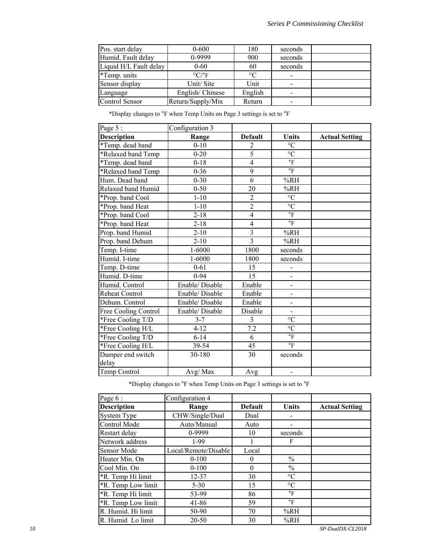| Pos. start delay       | $0 - 600$                     | 180             | seconds |  |
|------------------------|-------------------------------|-----------------|---------|--|
| Humid. Fault delay     | 0-9999                        | 900             | seconds |  |
| Liquid H/L Fault delay | $0 - 60$                      | 60              | seconds |  |
| *Temp. units           | $\rm ^{\circ}C/\rm ^{\circ}F$ | $\rm ^{\circ}C$ |         |  |
| Sensor display         | Unit/Site                     | Unit            |         |  |
| Language               | English/Chinese               | English         |         |  |
| Control Sensor         | Return/Supply/Mix             | Return          |         |  |

\*Display changes to °F when Temp Units on Page 3 settings is set to °F

| Page 5:                    | Configuration 3 |                |                              |                       |
|----------------------------|-----------------|----------------|------------------------------|-----------------------|
| Description                | Range           | <b>Default</b> | <b>Units</b>                 | <b>Actual Setting</b> |
| *Temp. dead band           | $0 - 10$        | $\overline{2}$ | $\rm ^{\circ}C$              |                       |
| *Relaxed band Temp         | $0 - 20$        | $\overline{5}$ | $\overline{C}$               |                       |
| *Temp. dead band           | $0 - 18$        | $\overline{4}$ | $\mathrm{^{\circ}F}$         |                       |
| *Relaxed band Temp         | $0 - 36$        | $\overline{9}$ | $\mathsf{P}$                 |                       |
| Hum. Dead band             | $0 - 30$        | $\overline{6}$ | %RH                          |                       |
| Relaxed band Humid         | $0 - 50$        | 20             | %RH                          |                       |
| *Prop. band Cool           | $1 - 10$        | $\overline{c}$ | $\rm ^{\circ}C$              |                       |
| *Prop. band Heat           | $1 - 10$        | $\overline{2}$ | $\overline{C}$               |                       |
| *Prop. band Cool           | $2 - 18$        | $\overline{4}$ | $\mathrm{^{\circ}F}$         |                       |
| *Prop. band Heat           | $2 - 18$        | $\overline{4}$ | $\mathrm{^{\circ}F}$         |                       |
| Prop. band Humid           | $2 - 10$        | 3              | %RH                          |                       |
| Prop. band Dehum           | $2 - 10$        | $\overline{3}$ | %RH                          |                       |
| Temp. I-time               | $1 - 6000$      | 1800           | seconds                      |                       |
| Humid. I-time              | 1-6000          | 1800           | seconds                      |                       |
| Temp. D-time               | $0 - 61$        | 15             |                              |                       |
| Humid. D-time              | $0 - 94$        | 15             | $\overline{\phantom{0}}$     |                       |
| Humid. Control             | Enable/Disable  | Enable         | $\overline{a}$               |                       |
| Reheat Control             | Enable/Disable  | Enable         | $\overline{a}$               |                       |
| Dehum. Control             | Enable/Disable  | Enable         | $\overline{\phantom{0}}$     |                       |
| Free Cooling Control       | Enable/ Disable | Disable        | $\overline{a}$               |                       |
| *Free Cooling T/D          | $3 - 7$         | 3              | $\rm ^{\circ}C$              |                       |
| *Free Cooling H/L          | $4 - 12$        | 7.2            | $\rm ^{\circ}C$              |                       |
| *Free Cooling T/D          | $6 - 14$        | 6              | $\mathrm{^{\circ}F}$         |                       |
| *Free Cooling H/L          | 39-54           | 45             | $\circ$ F                    |                       |
| Damper end switch<br>delay | 30-180          | 30             | seconds                      |                       |
| Temp Control               | Avg/Max         | Avg            | $\qquad \qquad \blacksquare$ |                       |
|                            |                 |                |                              |                       |

\*Display changes to °F when Temp Units on Page 3 settings is set to °F

| Page 6:            | Configuration 4      |                |                 |                       |
|--------------------|----------------------|----------------|-----------------|-----------------------|
| <b>Description</b> | Range                | <b>Default</b> | <b>Units</b>    | <b>Actual Setting</b> |
| <b>System Type</b> | CHW/Single/Dual      | Dual           |                 |                       |
| Control Mode       | Auto/Manual          | Auto           |                 |                       |
| Restart delay      | 0-9999               | 10             | seconds         |                       |
| Network address    | $1-99$               |                | F               |                       |
| <b>Sensor Mode</b> | Local/Remote/Disable | Local          |                 |                       |
| Heater Min. On     | $0 - 100$            | 0              | $\frac{0}{0}$   |                       |
| Cool Min. On       | $0 - 100$            | $\theta$       | $\frac{0}{0}$   |                       |
| *R. Temp Hi limit  | $12 - 37$            | 30             | $\rm ^{\circ}C$ |                       |
| *R. Temp Low limit | $5 - 30$             | 15             | $\rm ^{\circ}C$ |                       |
| *R. Temp Hi limit  | 53-99                | 86             | $\circ$ F       |                       |
| *R. Temp Low limit | 41-86                | 59             | $\circ$ F       |                       |
| R. Humid. Hi limit | 50-90                | 70             | %RH             |                       |
| R. Humid Lo limit  | 20-50                | 30             | %RH             |                       |

*10 SP-DualDX-CL2018*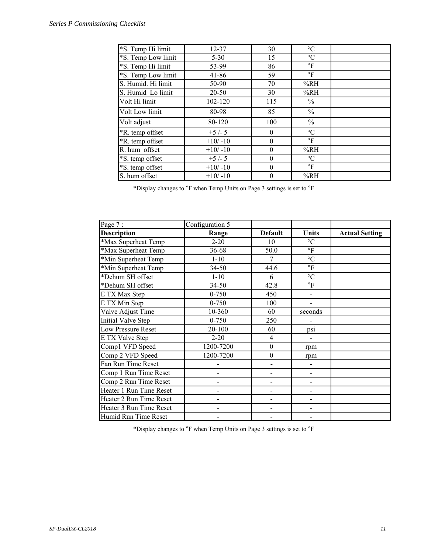| *S. Temp Hi limit  | $12 - 37$ | 30             | $\rm ^{\circ}C$      |  |
|--------------------|-----------|----------------|----------------------|--|
| *S. Temp Low limit | $5 - 30$  | 15             | $\rm ^{\circ}C$      |  |
| *S. Temp Hi limit  | 53-99     | 86             | $\mathrm{^{\circ}F}$ |  |
| *S. Temp Low limit | $41 - 86$ | 59             | $\circ$ F            |  |
| S. Humid. Hi limit | 50-90     | 70             | %RH                  |  |
| S. Humid Lo limit  | $20 - 50$ | 30             | %RH                  |  |
| Volt Hi limit      | 102-120   | 115            | $\frac{0}{0}$        |  |
| Volt Low limit     | 80-98     | 85             | $\frac{0}{0}$        |  |
| Volt adjust        | 80-120    | 100            | $\frac{0}{0}$        |  |
| *R. temp offset    | $+5/-5$   | $\theta$       | $\rm ^{\circ}C$      |  |
| *R. temp offset    | $+10/-10$ | $\theta$       | $\circ$ F            |  |
| R. hum offset      | $+10/-10$ | $\theta$       | %RH                  |  |
| *S. temp offset    | $+5/-5$   | $\theta$       | $\rm ^{\circ}C$      |  |
| *S. temp offset    | $+10/-10$ | $\overline{0}$ | $\circ$ F            |  |
| S. hum offset      | $+10/-10$ | $\theta$       | %RH                  |  |

\*Display changes to °F when Temp Units on Page 3 settings is set to °F

| Page 7:                   | Configuration 5 |                  |                      |                       |
|---------------------------|-----------------|------------------|----------------------|-----------------------|
| <b>Description</b>        | Range           | <b>Default</b>   | <b>Units</b>         | <b>Actual Setting</b> |
| *Max Superheat Temp       | $2 - 20$        | 10               | $\rm ^{\circ}C$      |                       |
| *Max Superheat Temp       | 36-68           | 50.0             | $\circ$ F            |                       |
| *Min Superheat Temp       | $1 - 10$        | 7                | $\rm ^{\circ}C$      |                       |
| *Min Superheat Temp       | 34-50           | 44.6             | $\mathrm{^{\circ}F}$ |                       |
| *Dehum SH offset          | $1 - 10$        | 6                | $\rm ^{\circ}C$      |                       |
| *Dehum SH offset          | 34-50           | 42.8             | $\mathrm{^{\circ}F}$ |                       |
| E TX Max Step             | $0 - 750$       | 450              |                      |                       |
| E TX Min Step             | $0 - 750$       | 100              | $\overline{a}$       |                       |
| Valve Adjust Time         | 10-360          | 60               | seconds              |                       |
| <b>Initial Valve Step</b> | $0 - 750$       | 250              |                      |                       |
| <b>Low Pressure Reset</b> | 20-100          | 60               | psi                  |                       |
| E TX Valve Step           | $2 - 20$        | 4                |                      |                       |
| Comp1 VFD Speed           | 1200-7200       | $\boldsymbol{0}$ | rpm                  |                       |
| Comp 2 VFD Speed          | 1200-7200       | $\boldsymbol{0}$ | rpm                  |                       |
| Fan Run Time Reset        |                 |                  | $\overline{a}$       |                       |
| Comp 1 Run Time Reset     |                 |                  |                      |                       |
| Comp 2 Run Time Reset     |                 |                  |                      |                       |
| Heater 1 Run Time Reset   |                 |                  | -                    |                       |
| Heater 2 Run Time Reset   | -               | -                | $\overline{a}$       |                       |
| Heater 3 Run Time Reset   |                 |                  | $\overline{a}$       |                       |
| Humid Run Time Reset      |                 |                  |                      |                       |

\*Display changes to °F when Temp Units on Page 3 settings is set to °F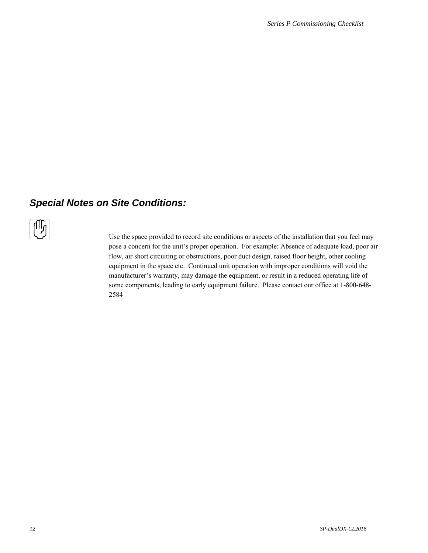## *Special Notes on Site Conditions:*



Use the space provided to record site conditions or aspects of the installation that you feel may pose a concern for the unit's proper operation. For example: Absence of adequate load, poor air flow, air short circuiting or obstructions, poor duct design, raised floor height, other cooling equipment in the space etc. Continued unit operation with improper conditions will void the manufacturer's warranty, may damage the equipment, or result in a reduced operating life of some components, leading to early equipment failure. Please contact our office at 1-800-648- 2584